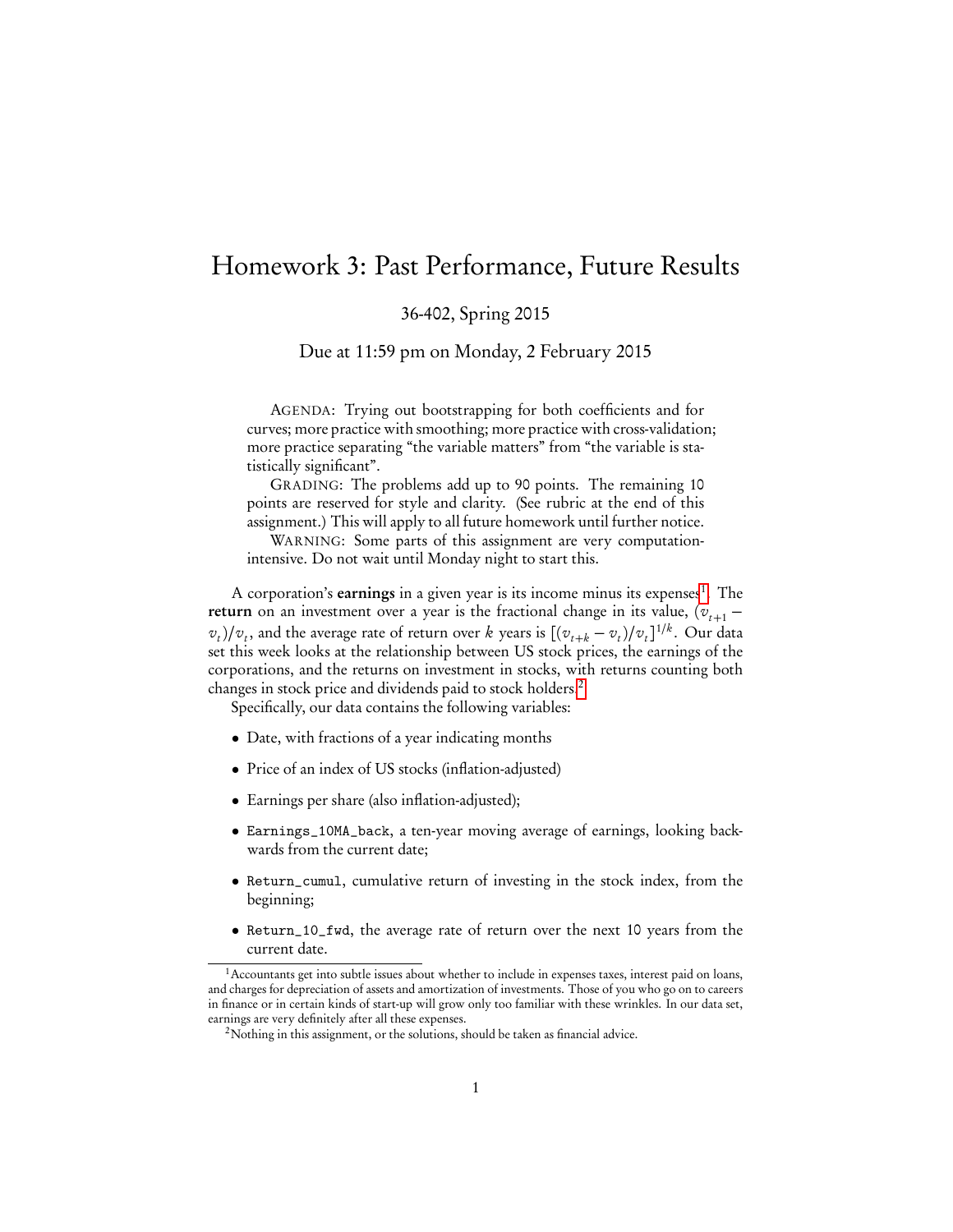## Homework 3: Past Performance, Future Results

36-402, Spring 2015

Due at 11:59 pm on Monday, 2 February 2015

AGENDA: Trying out bootstrapping for both coefficients and for curves; more practice with smoothing; more practice with cross-validation; more practice separating "the variable matters" from "the variable is statistically significant".

GRADING: The problems add up to 90 points. The remaining 10 points are reserved for style and clarity. (See rubric at the end of this assignment.) This will apply to all future homework until further notice.

WARNING: Some parts of this assignment are very computationintensive. Do not wait until Monday night to start this.

A corporation's earnings in a given year is its income minus its expenses<sup>[1](#page-0-0)</sup>. The return on an investment over a year is the fractional change in its value,  $(v_{t+1} (v_t)/v_t$ , and the average rate of return over k years is  $[(v_{t+k} - v_t)/v_t]^{1/k}$ . Our data set this week looks at the relationship between US stock prices, the earnings of the corporations, and the returns on investment in stocks, with returns counting both changes in stock price and dividends paid to stock holders.[2](#page-0-1)

Specifically, our data contains the following variables:

- Date, with fractions of a year indicating months
- Price of an index of US stocks (inflation-adjusted)
- Earnings per share (also inflation-adjusted);
- Earnings\_10MA\_back, a ten-year moving average of earnings, looking backwards from the current date;
- Return\_cumul, cumulative return of investing in the stock index, from the beginning;
- Return\_10\_fwd, the average rate of return over the next 10 years from the current date.

<span id="page-0-0"></span><sup>&</sup>lt;sup>1</sup> Accountants get into subtle issues about whether to include in expenses taxes, interest paid on loans, and charges for depreciation of assets and amortization of investments. Those of you who go on to careers in finance or in certain kinds of start-up will grow only too familiar with these wrinkles. In our data set, earnings are very definitely after all these expenses.

<span id="page-0-1"></span><sup>&</sup>lt;sup>2</sup>Nothing in this assignment, or the solutions, should be taken as financial advice.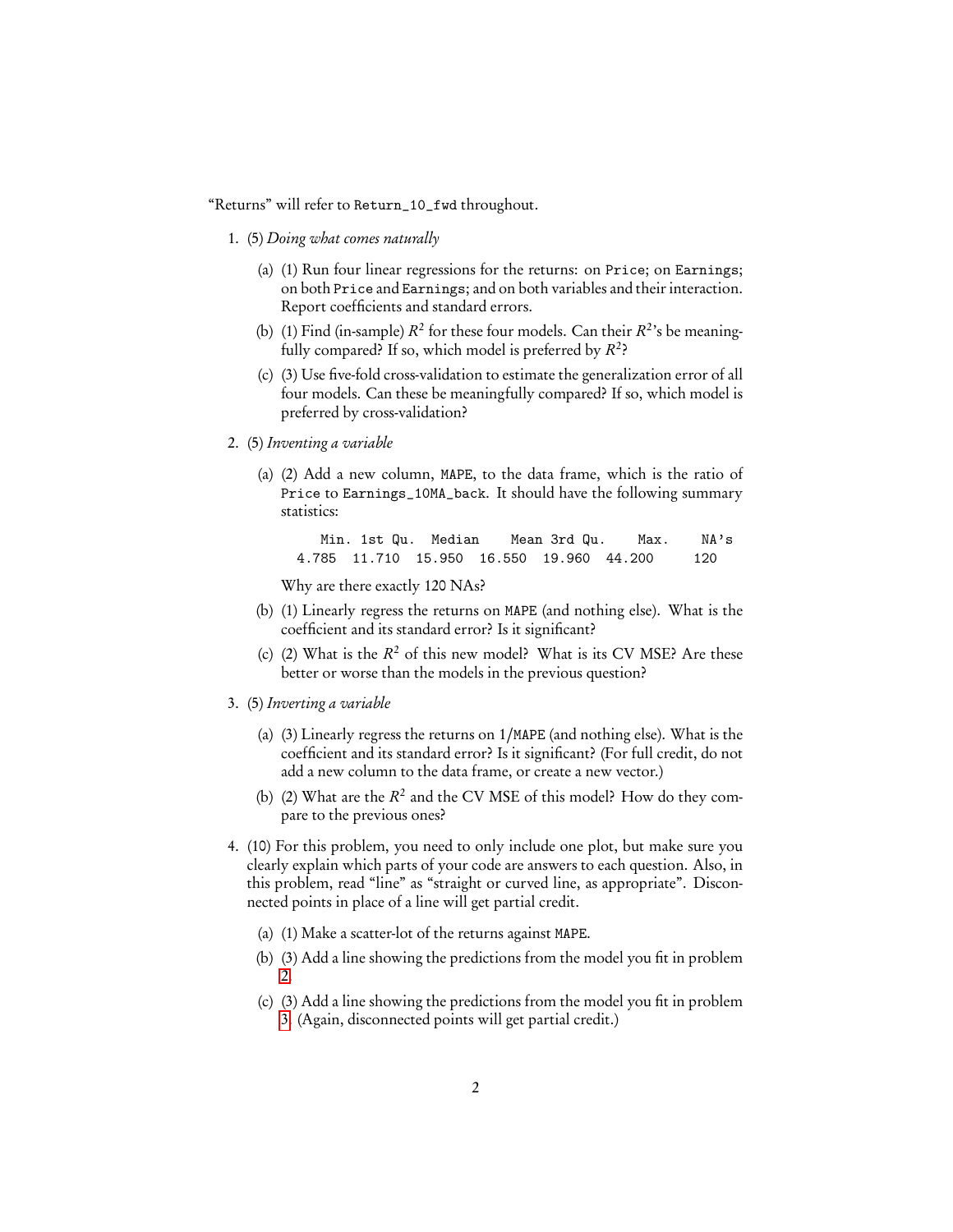"Returns" will refer to Return\_10\_fwd throughout.

- 1. (5) Doing what comes naturally
	- (a) (1) Run four linear regressions for the returns: on Price; on Earnings; on both Price and Earnings; and on both variables and their interaction. Report coefficients and standard errors.
	- (b) (1) Find (in-sample)  $R^2$  for these four models. Can their  $R^2$ 's be meaningfully compared? If so, which model is preferred by  $R^2$ ?
	- (c) (3) Use five-fold cross-validation to estimate the generalization error of all four models. Can these be meaningfully compared? If so, which model is preferred by cross-validation?
- <span id="page-1-0"></span>2. (5) Inventing a variable
	- (a) (2) Add a new column, MAPE, to the data frame, which is the ratio of Price to Earnings\_10MA\_back. It should have the following summary statistics:

Min. 1st Qu. Median Mean 3rd Qu. Max. NA's 4.785 11.710 15.950 16.550 19.960 44.200 120

Why are there exactly 120 NAs?

- (b) (1) Linearly regress the returns on MAPE (and nothing else). What is the coefficient and its standard error? Is it significant?
- (c) (2) What is the  $R^2$  of this new model? What is its CV MSE? Are these better or worse than the models in the previous question?
- <span id="page-1-1"></span>3. (5) Inverting a variable
	- (a) (3) Linearly regress the returns on 1/MAPE (and nothing else). What is the coefficient and its standard error? Is it significant? (For full credit, do not add a new column to the data frame, or create a new vector.)
	- (b) (2) What are the  $R^2$  and the CV MSE of this model? How do they compare to the previous ones?
- <span id="page-1-2"></span>4. (10) For this problem, you need to only include one plot, but make sure you clearly explain which parts of your code are answers to each question. Also, in this problem, read "line" as "straight or curved line, as appropriate". Disconnected points in place of a line will get partial credit.
	- (a) (1) Make a scatter-lot of the returns against MAPE.
	- (b) (3) Add a line showing the predictions from the model you fit in problem [2.](#page-1-0)
	- (c) (3) Add a line showing the predictions from the model you fit in problem [3.](#page-1-1) (Again, disconnected points will get partial credit.)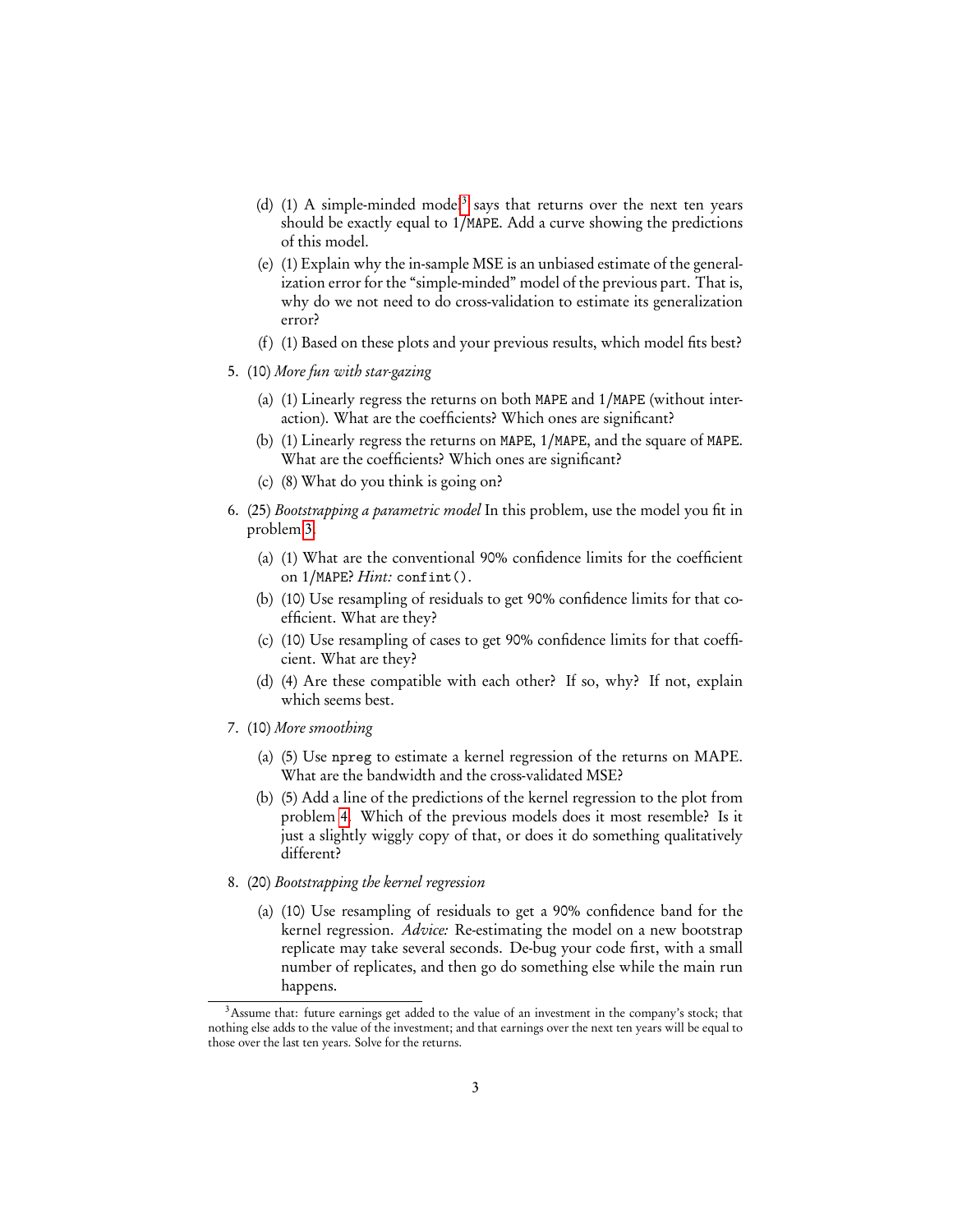- (d) (1) A simple-minded model<sup>[3](#page-2-0)</sup> says that returns over the next ten years should be exactly equal to 1*/*MAPE. Add a curve showing the predictions of this model.
- (e) (1) Explain why the in-sample MSE is an unbiased estimate of the generalization error for the "simple-minded" model of the previous part. That is, why do we not need to do cross-validation to estimate its generalization error?
- (f) (1) Based on these plots and your previous results, which model fits best?
- 5. (10) More fun with star-gazing
	- (a) (1) Linearly regress the returns on both MAPE and 1*/*MAPE (without interaction). What are the coefficients? Which ones are significant?
	- (b) (1) Linearly regress the returns on MAPE, 1*/*MAPE, and the square of MAPE. What are the coefficients? Which ones are significant?
	- (c) (8) What do you think is going on?
- 6. (25) Bootstrapping a parametric model In this problem, use the model you fit in problem [3.](#page-1-1)
	- (a) (1) What are the conventional 90% confidence limits for the coefficient on 1*/*MAPE? Hint: confint().
	- (b) (10) Use resampling of residuals to get 90% confidence limits for that coefficient. What are they?
	- (c) (10) Use resampling of cases to get 90% confidence limits for that coefficient. What are they?
	- (d) (4) Are these compatible with each other? If so, why? If not, explain which seems best.
- 7. (10) More smoothing
	- (a) (5) Use npreg to estimate a kernel regression of the returns on MAPE. What are the bandwidth and the cross-validated MSE?
	- (b) (5) Add a line of the predictions of the kernel regression to the plot from problem [4.](#page-1-2) Which of the previous models does it most resemble? Is it just a slightly wiggly copy of that, or does it do something qualitatively different?
- 8. (20) Bootstrapping the kernel regression
	- (a) (10) Use resampling of residuals to get a 90% confidence band for the kernel regression. Advice: Re-estimating the model on a new bootstrap replicate may take several seconds. De-bug your code first, with a small number of replicates, and then go do something else while the main run happens.

<span id="page-2-0"></span><sup>&</sup>lt;sup>3</sup>Assume that: future earnings get added to the value of an investment in the company's stock; that nothing else adds to the value of the investment; and that earnings over the next ten years will be equal to those over the last ten years. Solve for the returns.